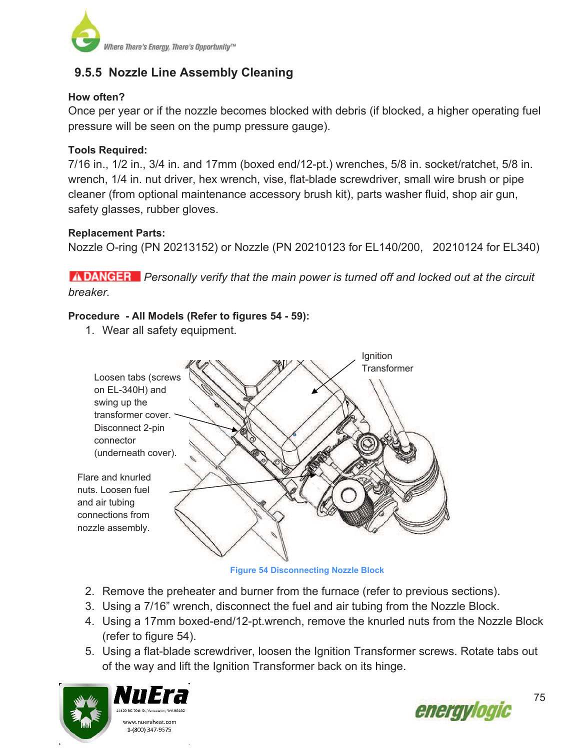

# **9.5.5 Nozzle Line Assembly Cleaning**

### **How often?**

Once per year or if the nozzle becomes blocked with debris (if blocked, a higher operating fuel pressure will be seen on the pump pressure gauge).

# **Tools Required:**

7/16 in., 1/2 in., 3/4 in. and 17mm (boxed end/12-pt.) wrenches, 5/8 in. socket/ratchet, 5/8 in. wrench, 1/4 in. nut driver, hex wrench, vise, flat-blade screwdriver, small wire brush or pipe cleaner (from optional maintenance accessory brush kit), parts washer fluid, shop air gun, safety glasses, rubber gloves.

### **Replacement Parts:**

connector

and air tubing

Nozzle O-ring (PN 20213152) or Nozzle (PN 20210123 for EL140/200, 20210124 for EL340)

*ADANGER* Personally verify that the main power is turned off and locked out at the circuit *breaker.*

# **Procedure - All Models (Refer to figures 54 - 59):**

1. Wear all safety equipment.



**Figure 54 Disconnecting Nozzle Block**

- 2. Remove the preheater and burner from the furnace (refer to previous sections).
- 3. Using a 7/16" wrench, disconnect the fuel and air tubing from the Nozzle Block.
- 4. Using a 17mm boxed-end/12-pt.wrench, remove the knurled nuts from the Nozzle Block (refer to figure 54).
- 5. Using a flat-blade screwdriver, loosen the Ignition Transformer screws. Rotate tabs out of the way and lift the Ignition Transformer back on its hinge.





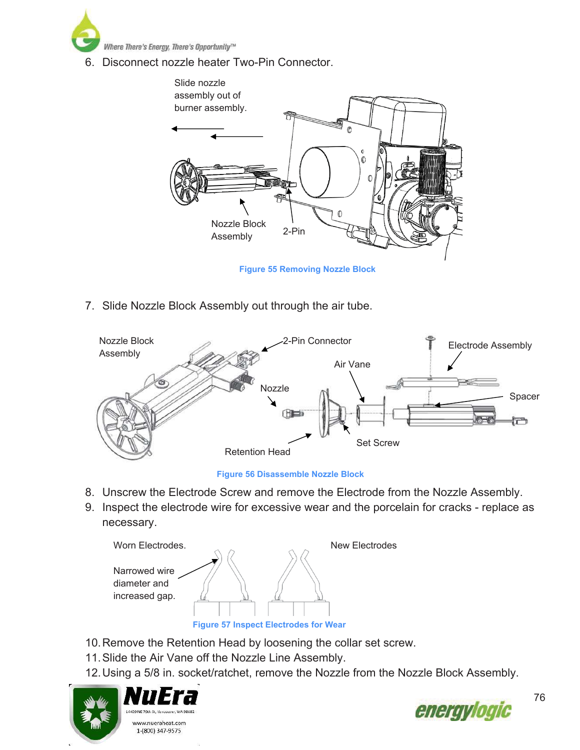

6. Disconnect nozzle heater Two-Pin Connector.



7. Slide Nozzle Block Assembly out through the air tube.





- 8. Unscrew the Electrode Screw and remove the Electrode from the Nozzle Assembly.
- 9. Inspect the electrode wire for excessive wear and the porcelain for cracks replace as necessary.



- 10. Remove the Retention Head by loosening the collar set screw.
- 11. Slide the Air Vane off the Nozzle Line Assembly.
- 12. Using a 5/8 in. socket/ratchet, remove the Nozzle from the Nozzle Block Assembly.